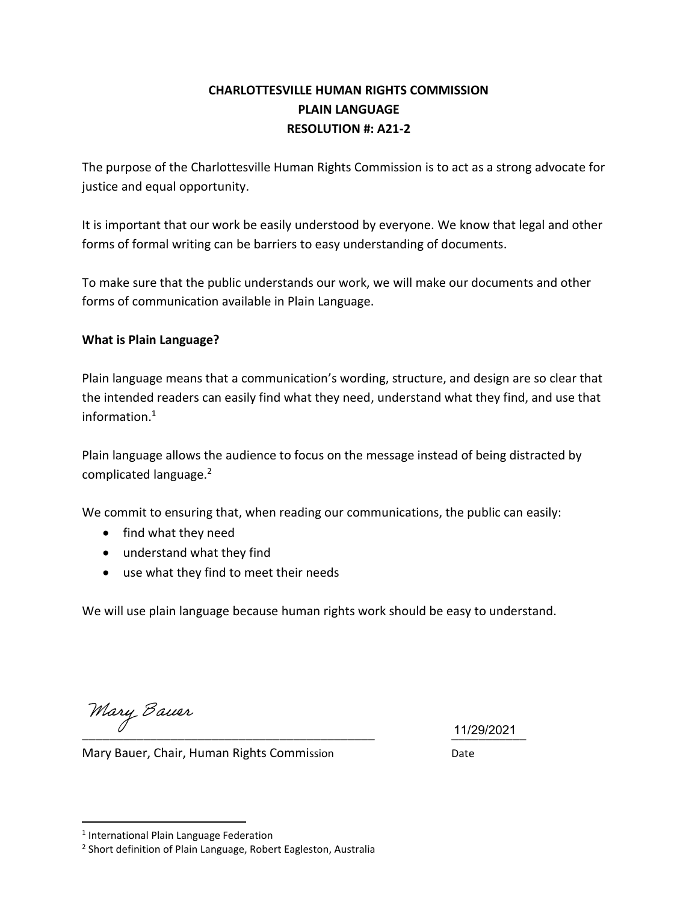### **CHARLOTTESVILLE HUMAN RIGHTS COMMISSION PLAIN LANGUAGE RESOLUTION #: A21-2**

The purpose of the Charlottesville Human Rights Commission is to act as a strong advocate for justice and equal opportunity.

It is important that our work be easily understood by everyone. We know that legal and other forms of formal writing can be barriers to easy understanding of documents.

To make sure that the public understands our work, we will make our documents and other forms of communication available in Plain Language.

#### **What is Plain Language?**

Plain language means that a communication's wording, structure, and design are so clear that the intended readers can easily find what they need, understand what they find, and use that information.<sup>1</sup>

Plain language allows the audience to focus on the message instead of being distracted by complicated language.<sup>2</sup>

We commit to ensuring that, when reading our communications, the public can easily:

- find what they need
- understand what they find
- use what they find to meet their needs

We will use plain language because human rights work should be easy to understand.

\_\_\_\_\_\_\_\_\_\_\_\_\_\_\_\_\_\_\_\_\_\_\_\_\_\_\_\_\_\_\_\_\_\_\_\_\_\_\_\_\_\_\_ \_\_\_\_\_\_\_\_\_\_\_ 11/29/2021

Mary Bauer, Chair, Human Rights Commission Date

<sup>&</sup>lt;sup>1</sup> International Plain Language Federation

<sup>2</sup> Short definition of Plain Language, Robert Eagleston, Australia